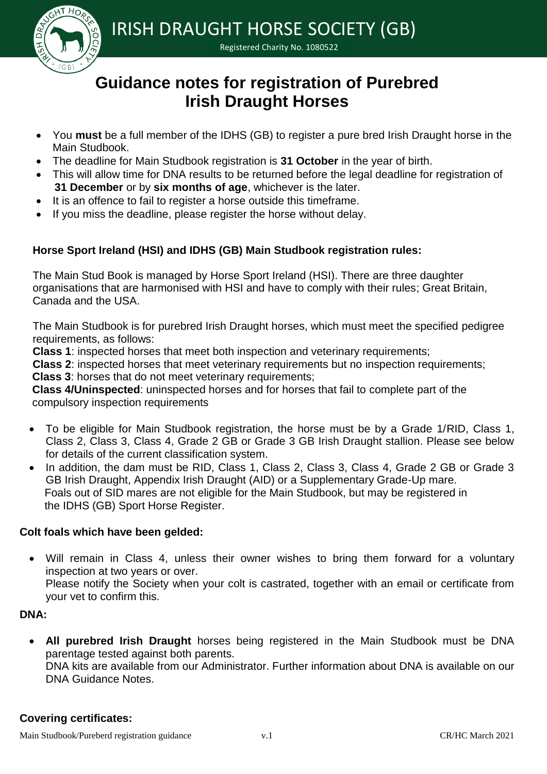

IRISH DRAUGHT HORSE SOCIETY (GB)

Registered Charity No. 1080522

# **Guidance notes for registration of Purebred Irish Draught Horses**

- You **must** be a full member of the IDHS (GB) to register a pure bred Irish Draught horse in the Main Studbook.
- The deadline for Main Studbook registration is **31 October** in the year of birth.
- This will allow time for DNA results to be returned before the legal deadline for registration of  **31 December** or by **six months of age**, whichever is the later.
- It is an offence to fail to register a horse outside this timeframe.
- If you miss the deadline, please register the horse without delay.

# **Horse Sport Ireland (HSI) and IDHS (GB) Main Studbook registration rules:**

The Main Stud Book is managed by Horse Sport Ireland (HSI). There are three daughter organisations that are harmonised with HSI and have to comply with their rules; Great Britain, Canada and the USA.

The Main Studbook is for purebred Irish Draught horses, which must meet the specified pedigree requirements, as follows:

**Class 1**: inspected horses that meet both inspection and veterinary requirements;

**Class 2**: inspected horses that meet veterinary requirements but no inspection requirements;

**Class 3**: horses that do not meet veterinary requirements;

**Class 4/Uninspected**: uninspected horses and for horses that fail to complete part of the compulsory inspection requirements

- To be eligible for Main Studbook registration, the horse must be by a Grade 1/RID, Class 1, Class 2, Class 3, Class 4, Grade 2 GB or Grade 3 GB Irish Draught stallion. Please see below for details of the current classification system.
- In addition, the dam must be RID, Class 1, Class 2, Class 3, Class 4, Grade 2 GB or Grade 3 GB Irish Draught, Appendix Irish Draught (AID) or a Supplementary Grade-Up mare. Foals out of SID mares are not eligible for the Main Studbook, but may be registered in the IDHS (GB) Sport Horse Register.

# **Colt foals which have been gelded:**

 Will remain in Class 4, unless their owner wishes to bring them forward for a voluntary inspection at two years or over.

Please notify the Society when your colt is castrated, together with an email or certificate from your vet to confirm this.

## **DNA:**

 **All purebred Irish Draught** horses being registered in the Main Studbook must be DNA parentage tested against both parents.

DNA kits are available from our Administrator. Further information about DNA is available on our DNA Guidance Notes.